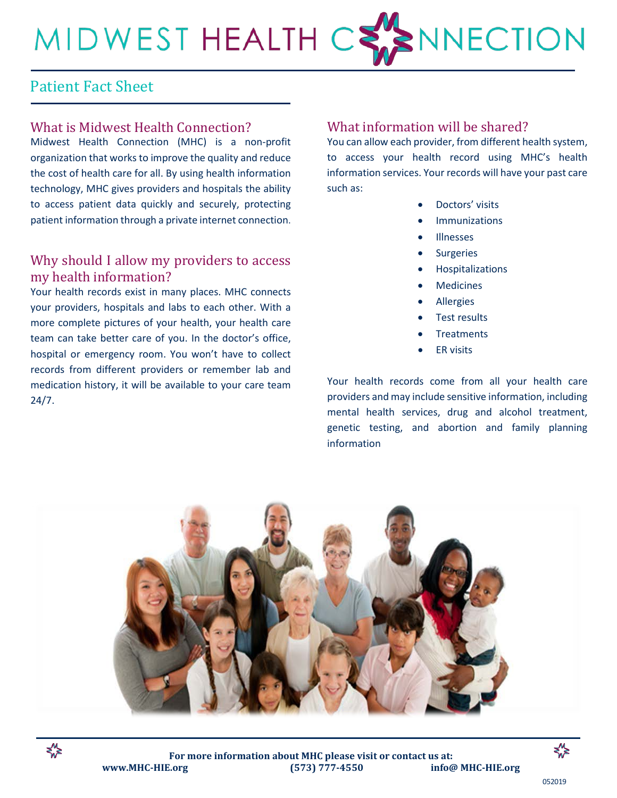# MIDWEST HEALTH C NNECTION

## Patient Fact Sheet

#### What is Midwest Health Connection?

Midwest Health Connection (MHC) is a non-profit organization that works to improve the quality and reduce the cost of health care for all. By using health information technology, MHC gives providers and hospitals the ability to access patient data quickly and securely, protecting patient information through a private internet connection.

#### Why should I allow my providers to access my health information?

Your health records exist in many places. MHC connects your providers, hospitals and labs to each other. With a more complete pictures of your health, your health care team can take better care of you. In the doctor's office, hospital or emergency room. You won't have to collect records from different providers or remember lab and medication history, it will be available to your care team 24/7.

#### What information will be shared?

You can allow each provider, from different health system, to access your health record using MHC's health information services. Your records will have your past care such as:

- Doctors' visits
- **Immunizations**
- **Illnesses**
- Surgeries
- Hospitalizations
- **Medicines**
- Allergies
- Test results
- **Treatments**
- ER visits

Your health records come from all your health care providers and may include sensitive information, including mental health services, drug and alcohol treatment, genetic testing, and abortion and family planning information